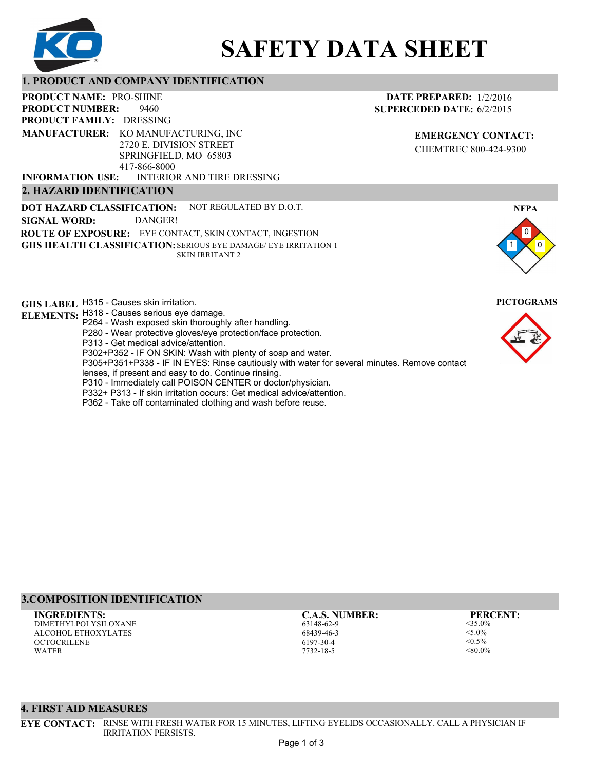

# **SAFETY DATA SHEET**

#### **1. PRODUCT AND COMPANY IDENTIFICATION**

9460 **PRODUCT NAME: PRO-SHINE PRODUCT FAMILY: DRESSING** INTERIOR AND TIRE DRESSING **PRODUCT NUMBER: 2. HAZARD IDENTIFICATION MANUFACTURER:** KO MANUFACTURING, INC 2720 E. DIVISION STREET SPRINGFIELD, MO 65803 417-866-8000 **INFORMATION USE:**

**DOT HAZARD CLASSIFICATION: GHS HEALTH CLASSIFICATION:** SERIOUS EYE DAMAGE/ EYE IRRITATION 1 **ROUTE OF EXPOSURE:** EYE CONTACT, SKIN CONTACT, INGESTION NOT REGULATED BY D.O.T. SKIN IRRITANT 2 **SIGNAL WORD:** DANGER!

**GHS LABEL**  H315 - Causes skin irritation. **PICTOGRAMS**

- **ELEMENTS:** H318 Causes serious eye damage. P264 - Wash exposed skin thoroughly after handling.
	- P280 Wear protective gloves/eye protection/face protection.
	- P313 Get medical advice/attention.
	- P302+P352 IF ON SKIN: Wash with plenty of soap and water.

P305+P351+P338 - IF IN EYES: Rinse cautiously with water for several minutes. Remove contact

- lenses, if present and easy to do. Continue rinsing.
- P310 Immediately call POISON CENTER or doctor/physician.
- P332+ P313 If skin irritation occurs: Get medical advice/attention.
- P362 Take off contaminated clothing and wash before reuse.

#### **DATE PREPARED:** 1/2/2016 **SUPERCEDED DATE:** 6/2/2015

**EMERGENCY CONTACT:** CHEMTREC 800-424-9300





## **3.COMPOSITION IDENTIFICATION**

DIMETHYLPOLYSILOXANE ALCOHOL ETHOXYLATES **OCTOCRILENE** WATER **INGREDIENTS: C.A.S. NUMBER: PERCENT:**

63148-62-9 68439-46-3 6197-30-4 7732-18-5

<35.0%  $< 5.0\%$  $< 0.5\%$  $< 80.0\%$ 

#### **4. FIRST AID MEASURES**

**EYE CONTACT:** RINSE WITH FRESH WATER FOR 15 MINUTES, LIFTING EYELIDS OCCASIONALLY. CALL A PHYSICIAN IF IRRITATION PERSISTS.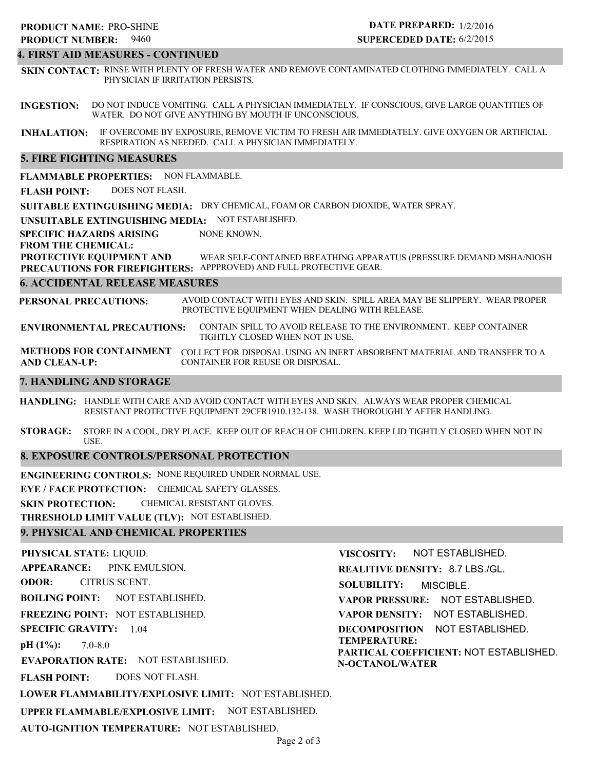9460 **PRODUCT NUMBER: 5. FIRE FIGHTING MEASURES 6. ACCIDENTAL RELEASE MEASURES 7. HANDLING AND STORAGE 8. EXPOSURE CONTROLS/PERSONAL PROTECTION SUITABLE EXTINGUISHING MEDIA:** DRY CHEMICAL, FOAM OR CARBON DIOXIDE, WATER SPRAY. **UNSUITABLE EXTINGUISHING MEDIA:** NOT ESTABLISHED. **SPECIFIC HAZARDS ARISING FROM THE CHEMICAL: FLAMMABLE PROPERTIES:** NON FLAMMABLE. **ENVIRONMENTAL PRECAUTIONS: METHODS FOR CONTAINMENT** COLLECT FOR DISPOSAL USING AN INERT ABSORBENT MATERIAL AND TRANSFER TO A **AND CLEAN-UP: HANDLING:** HANDLE WITH CARE AND AVOID CONTACT WITH EYES AND SKIN. ALWAYS WEAR PROPER CHEMICAL **STORAGE: PROTECTIVE EQUIPMENT AND PRECAUTIONS FOR FIREFIGHTERS:** APPPROVED) AND FULL PROTECTIVE GEAR. **PERSONAL PRECAUTIONS:** RESISTANT PROTECTIVE EQUIPMENT 29CFR1910.132-138. WASH THOROUGHLY AFTER HANDLING. STORE IN A COOL, DRY PLACE. KEEP OUT OF REACH OF CHILDREN. KEEP LID TIGHTLY CLOSED WHEN NOT IN USE. AVOID CONTACT WITH EYES AND SKIN. SPILL AREA MAY BE SLIPPERY. WEAR PROPER PROTECTIVE EQUIPMENT WHEN DEALING WITH RELEASE. CONTAIN SPILL TO AVOID RELEASE TO THE ENVIRONMENT. KEEP CONTAINER TIGHTLY CLOSED WHEN NOT IN USE. CONTAINER FOR REUSE OR DISPOSAL. NONE KNOWN. WEAR SELF-CONTAINED BREATHING APPARATUS (PRESSURE DEMAND MSHA/NIOSH **FLASH POINT:** DOES NOT FLASH. **SUPERCEDED DATE:** 6/2/2015 **INGESTION:** DO NOT INDUCE VOMITING. CALL A PHYSICIAN IMMEDIATELY. IF CONSCIOUS, GIVE LARGE QUANTITIES OF **INHALATION:** IF OVERCOME BY EXPOSURE, REMOVE VICTIM TO FRESH AIR IMMEDIATELY. GIVE OXYGEN OR ARTIFICIAL RESPIRATION AS NEEDED. CALL A PHYSICIAN IMMEDIATELY. WATER. DO NOT GIVE ANYTHING BY MOUTH IF UNCONSCIOUS. **4. FIRST AID MEASURES - CONTINUED SKIN CONTACT:** RINSE WITH PLENTY OF FRESH WATER AND REMOVE CONTAMINATED CLOTHING IMMEDIATELY. CALL A PHYSICIAN IF IRRITATION PERSISTS.

**ENGINEERING CONTROLS:** NONE REQUIRED UNDER NORMAL USE.

**EYE / FACE PROTECTION:** CHEMICAL SAFETY GLASSES.

**SKIN PROTECTION:** CHEMICAL RESISTANT GLOVES.

**THRESHOLD LIMIT VALUE (TLV):** NOT ESTABLISHED.

#### **9. PHYSICAL AND CHEMICAL PROPERTIES**

**PHYSICAL STATE:** LIQUID. **APPEARANCE: ODOR: BOILING POINT:** NOT ESTABLISHED. **FREEZING POINT:** NOT ESTABLISHED. **SPECIFIC GRAVITY:** 1.04 **pH (1%): EVAPORATION RATE:** NOT ESTABLISHED. **FLASH POINT: LOWER FLAMMABILITY/EXPLOSIVE LIMIT:** NOT ESTABLISHED. **UPPER FLAMMABLE/EXPLOSIVE LIMIT:** NOT ESTABLISHED. **AUTO-IGNITION TEMPERATURE:** NOT ESTABLISHED. 7.0-8.0 DOES NOT FLASH. PINK EMULSION. CITRUS SCENT. **VISCOSITY: REALITIVE DENSITY:** 8.7 LBS./GL. **SOLUBILITY: VAPOR PRESSURE:** NOT ESTABLISHED. **VAPOR DENSITY:** NOT ESTABLISHED. **DECOMPOSITION** NOT ESTABLISHED. **TEMPERATURE: PARTICAL COEFFICIENT:** NOT ESTABLISHED. **N-OCTANOL/WATER** NOT ESTABLISHED. MISCIBLE.